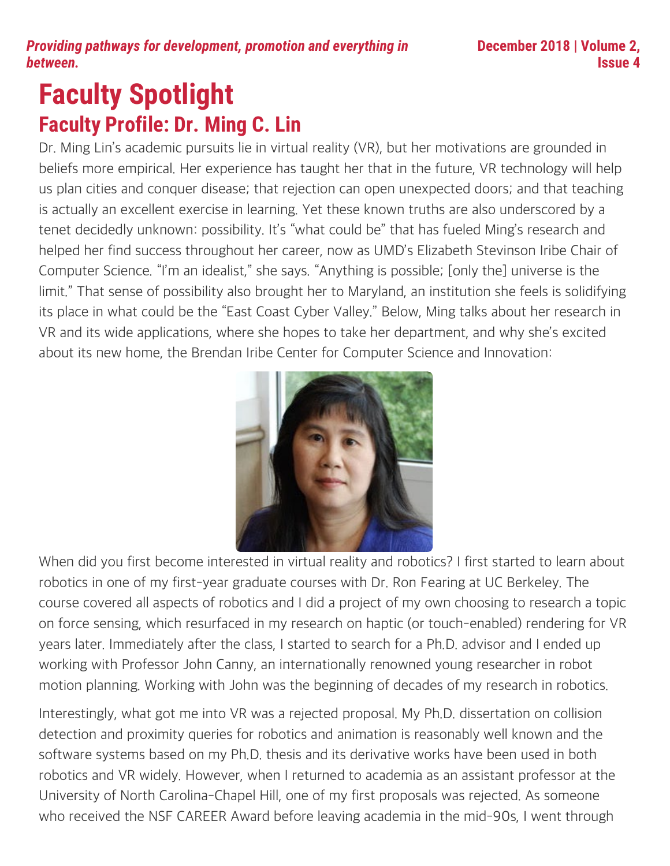# **Faculty Spotlight Faculty Profile: Dr. Ming C. Lin**

Dr. Ming Lin's academic pursuits lie in virtual reality (VR), but her motivations are grounded in beliefs more empirical. Her experience has taught her that in the future, VR technology will help us plan cities and conquer disease; that rejection can open unexpected doors; and that teaching is actually an excellent exercise in learning. Yet these known truths are also underscored by a tenet decidedly unknown: possibility. It's "what could be" that has fueled Ming's research and helped her find success throughout her career, now as UMD's Elizabeth Stevinson Iribe Chair of Computer Science. "I'm an idealist," she says. "Anything is possible; [only the] universe is the limit." That sense of possibility also brought her to Maryland, an institution she feels is solidifying its place in what could be the "East Coast Cyber Valley." Below, Ming talks about her research in VR and its wide applications, where she hopes to take her department, and why she's excited about its new home, the Brendan Iribe Center for Computer Science and Innovation:



When did you first become interested in virtual reality and robotics? I first started to learn about robotics in one of my first-year graduate courses with Dr. Ron Fearing at UC Berkeley. The course covered all aspects of robotics and I did a project of my own choosing to research a topic on force sensing, which resurfaced in my research on haptic (or touch-enabled) rendering for VR years later. Immediately after the class, I started to search for a Ph.D. advisor and I ended up working with Professor John Canny, an internationally renowned young researcher in robot motion planning. Working with John was the beginning of decades of my research in robotics.

Interestingly, what got me into VR was a rejected proposal. My Ph.D. dissertation on collision detection and proximity queries for robotics and animation is reasonably well known and the software systems based on my Ph.D. thesis and its derivative works have been used in both robotics and VR widely. However, when I returned to academia as an assistant professor at the University of North Carolina-Chapel Hill, one of my first proposals was rejected. As someone who received the NSF CAREER Award before leaving academia in the mid-90s, I went through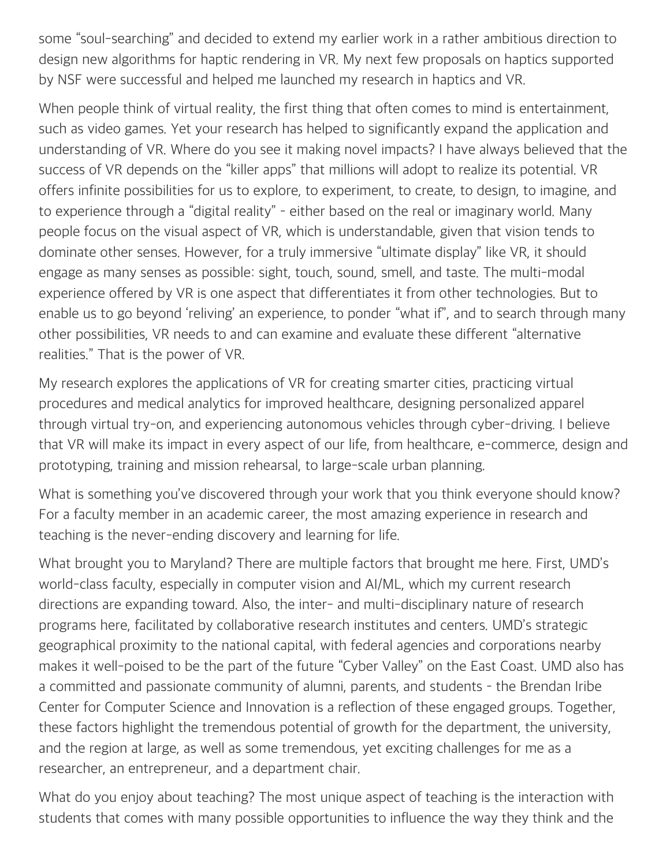some "soul-searching" and decided to extend my earlier work in a rather ambitious direction to design new algorithms for haptic rendering in VR. My next few proposals on haptics supported by NSF were successful and helped me launched my research in haptics and VR.

When people think of virtual reality, the first thing that often comes to mind is entertainment, such as video games. Yet your research has helped to significantly expand the application and understanding of VR. Where do you see it making novel impacts? I have always believed that the success of VR depends on the "killer apps" that millions will adopt to realize its potential. VR offers infinite possibilities for us to explore, to experiment, to create, to design, to imagine, and to experience through a "digital reality" – either based on the real or imaginary world. Many people focus on the visual aspect of VR, which is understandable, given that vision tends to dominate other senses. However, for a truly immersive "ultimate display" like VR, it should engage as many senses as possible: sight, touch, sound, smell, and taste. The multi-modal experience offered by VR is one aspect that differentiates it from other technologies. But to enable us to go beyond 'reliving' an experience, to ponder "what if", and to search through many other possibilities, VR needs to and can examine and evaluate these different "alternative realities." That is the power of VR.

My research explores the applications of VR for creating smarter cities, practicing virtual procedures and medical analytics for improved healthcare, designing personalized apparel through virtual try-on, and experiencing autonomous vehicles through cyber-driving. I believe that VR will make its impact in every aspect of our life, from healthcare, e-commerce, design and prototyping, training and mission rehearsal, to large-scale urban planning.

What is something you've discovered through your work that you think everyone should know? For a faculty member in an academic career, the most amazing experience in research and teaching is the never-ending discovery and learning for life.

What brought you to Maryland? There are multiple factors that brought me here. First, UMD's world-class faculty, especially in computer vision and AI/ML, which my current research directions are expanding toward. Also, the inter- and multi-disciplinary nature of research programs here, facilitated by collaborative research institutes and centers. UMD's strategic geographical proximity to the national capital, with federal agencies and corporations nearby makes it well-poised to be the part of the future "Cyber Valley" on the East Coast. UMD also has a committed and passionate community of alumni, parents, and students – the Brendan Iribe Center for Computer Science and Innovation is a reflection of these engaged groups. Together, these factors highlight the tremendous potential of growth for the department, the university, and the region at large, as well as some tremendous, yet exciting challenges for me as a researcher, an entrepreneur, and a department chair.

What do you enjoy about teaching? The most unique aspect of teaching is the interaction with students that comes with many possible opportunities to influence the way they think and the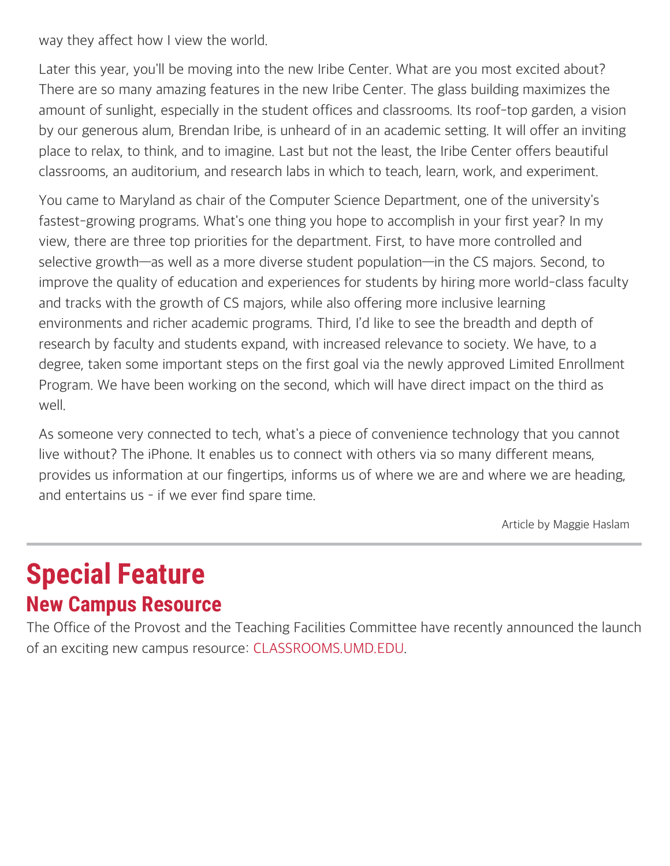way they affect how I view the world.

Later this year, you'll be moving into the new Iribe Center. What are you most excited about? There are so many amazing features in the new Iribe Center. The glass building maximizes the amount of sunlight, especially in the student offices and classrooms. Its roof-top garden, a vision by our generous alum, Brendan Iribe, is unheard of in an academic setting. It will offer an inviting place to relax, to think, and to imagine. Last but not the least, the Iribe Center offers beautiful classrooms, an auditorium, and research labs in which to teach, learn, work, and experiment.

You came to Maryland as chair of the Computer Science Department, one of the university's fastest-growing programs. What's one thing you hope to accomplish in your first year? In my view, there are three top priorities for the department. First, to have more controlled and selective growth—as well as a more diverse student population—in the CS majors. Second, to improve the quality of education and experiences for students by hiring more world-class faculty and tracks with the growth of CS majors, while also offering more inclusive learning environments and richer academic programs. Third, I'd like to see the breadth and depth of research by faculty and students expand, with increased relevance to society. We have, to a degree, taken some important steps on the first goal via the newly approved Limited Enrollment Program. We have been working on the second, which will have direct impact on the third as well.

As someone very connected to tech, what's a piece of convenience technology that you cannot live without? The iPhone. It enables us to connect with others via so many different means, provides us information at our fingertips, informs us of where we are and where we are heading, and entertains us – if we ever find spare time.

Article by Maggie Haslam

# **Special Feature New Campus Resource**

The Office of the Provost and the Teaching Facilities Committee have recently announced the launch of an exciting new campus resource: [CLASSROOMS.UMD.EDU](http://classrooms.umd.edu/).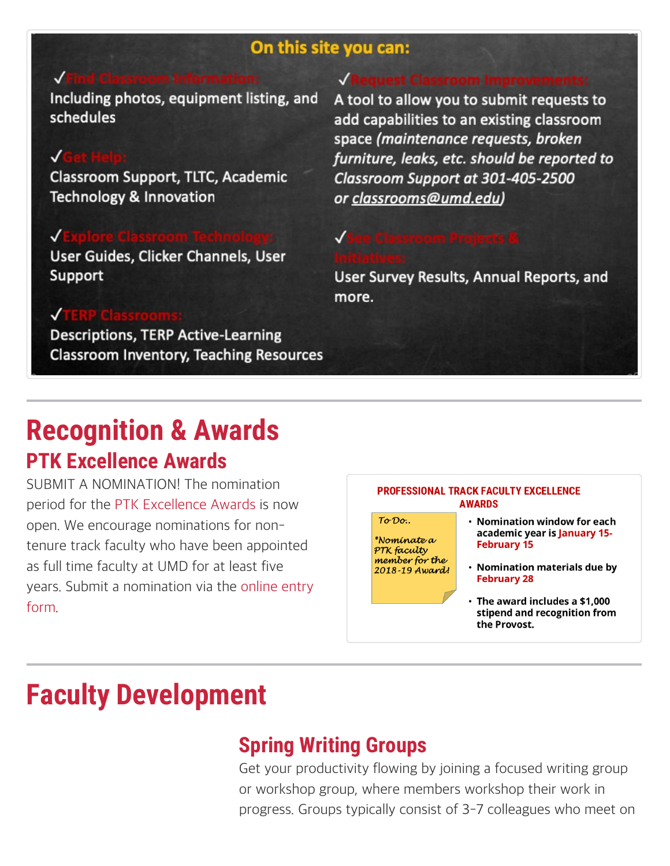### On this site you can:

Including photos, equipment listing, and schedules

### JG

Classroom Support, TLTC, Academic **Technology & Innovation** 

#### √

User Guides, Clicker Channels, User Support

#### J

**Descriptions, TERP Active-Learning Classroom Inventory, Teaching Resources** 

A tool to allow you to submit requests to add capabilities to an existing classroom space (maintenance requests, broken furniture, leaks, etc. should be reported to Classroom Support at 301-405-2500 or classrooms@umd.edu)

User Survey Results, Annual Reports, and more.

## **Recognition & Awards PTK Excellence Awards**

SUBMIT A NOMINATION! The nomination period for the PTK Excellence Awards is now open. We encourage nominations for nontenure track faculty who have been appointed as full time faculty at UMD for at least five years. Submit a nomination via the online entry form

#### **PROFESSIONAL TRACK FACULTY EXCELLENCE AWARDS**

 $To Do.$ \*Nomínate a PTK faculty member for the 2018-19 Award!

- Nomination window for each academic year is January 15-**February 15**
- Nomination materials due by **February 28**
- $\cdot$  The award includes a \$1,000 stipend and recognition from the Provost.

# **Faculty Development**

### **Spring Writing Groups**

Get your productivity flowing by joining a focused writing group or workshop group, where members workshop their work in progress. Groups typically consist of 3-7 colleagues who meet on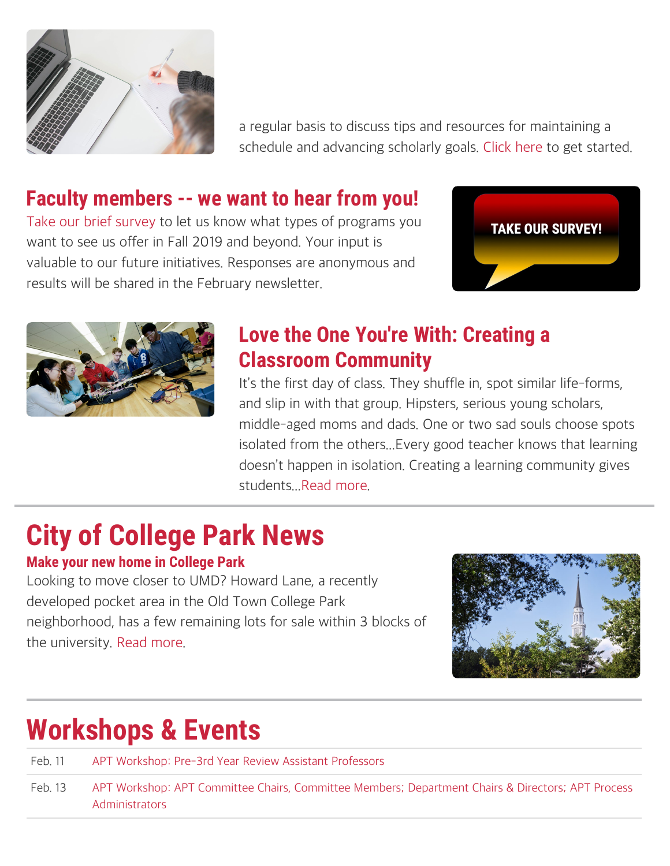

a regular basis to discuss tips and resources for maintaining a schedule and advancing scholarly goals. [Click here](https://umdsurvey.umd.edu/jfe/form/SV_9t0ItLOjBZxIgbb) to get started.

## **Faculty members -- we want to hear from you!**

[Take our brief survey](https://umdsurvey.umd.edu/jfe/form/SV_eOS7WZjuJOtAIe1) to let us know what types of programs you want to see us offer in Fall 2019 and beyond. Your input is valuable to our future initiatives. Responses are anonymous and results will be shared in the February newsletter.





## **Love the One You're With: Creating a Classroom Community**

It's the first day of class. They shuffle in, spot similar life-forms, and slip in with that group. Hipsters, serious young scholars, middle-aged moms and dads. One or two sad souls choose spots isolated from the others...Every good teacher knows that learning doesn't happen in isolation. Creating a learning community gives students..[.Read more](https://www.facultyfocus.com/articles/effective-classroom-management/love-the-one-youre-with-creating-a-classroom-community/).

# **City of College Park News**

### **Make your new home in College Park**

Looking to move closer to UMD? Howard Lane, a recently developed pocket area in the Old Town College Park neighborhood, has a few remaining lots for sale within 3 blocks of the university. [Read more](https://issuu.com/kidwellhomes/docs/howard_lane_homes).



# **Workshops & Events**

Feb. 11 [APT Workshop: Pre-3rd Year Review Assistant Professors](https://www.eventbrite.com/e/apt-workshop-pre-3rd-year-review-assistant-professors-registration-55023200875)

Feb. 13 [APT Workshop: APT Committee Chairs, Committee Members; Department Chairs & Directors; APT Process](https://www.eventbrite.com/e/apt-workshop-apt-committee-chairs-apt-committee-members-department-chairs-directors-apt-process-registration-55023950116) [Administrators](https://www.eventbrite.com/e/apt-workshop-apt-committee-chairs-apt-committee-members-department-chairs-directors-apt-process-registration-55023950116)